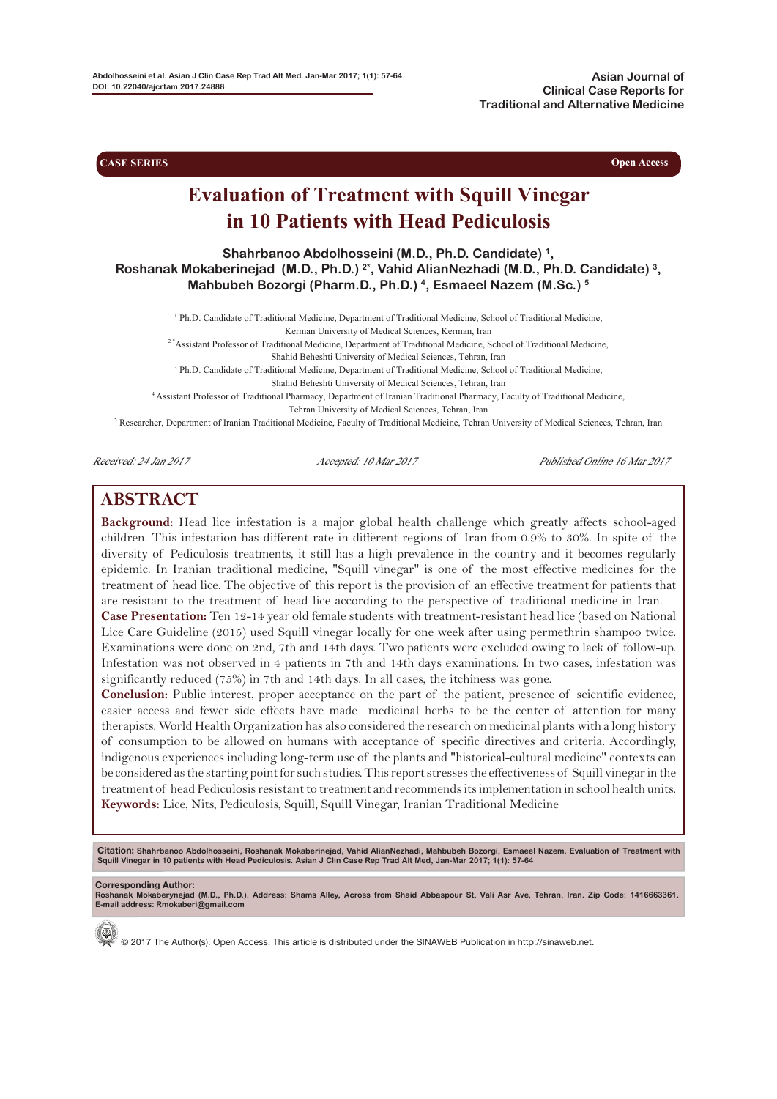**Asian Journal of Clinical Case Reports for Traditional and Alternative Medicine**

**CASE SERIES Open Access** 

# **Evaluation of Treatment with Squill Vinegar in 10 Patients with Head Pediculosis**

**Shahrbanoo Abdolhosseini (M.D., Ph.D. Candidate) 1, Roshanak Mokaberinejad (M.D., Ph.D.) 2\*, Vahid AlianNezhadi (M.D., Ph.D. Candidate) 3, Mahbubeh Bozorgi (Pharm.D., Ph.D.) 4, Esmaeel Nazem (M.Sc.) 5**

<sup>1</sup> Ph.D. Candidate of Traditional Medicine, Department of Traditional Medicine, School of Traditional Medicine,

Kerman University of Medical Sciences, Kerman, Iran

<sup>2</sup>\*Assistant Professor of Traditional Medicine, Department of Traditional Medicine, School of Traditional Medicine,

Shahid Beheshti University of Medical Sciences, Tehran, Iran

<sup>3</sup> Ph.D. Candidate of Traditional Medicine, Department of Traditional Medicine, School of Traditional Medicine,

Shahid Beheshti University of Medical Sciences, Tehran, Iran

4 Assistant Professor of Traditional Pharmacy, Department of Iranian Traditional Pharmacy, Faculty of Traditional Medicine,

Tehran University of Medical Sciences, Tehran, Iran

<sup>5</sup> Researcher, Department of Iranian Traditional Medicine, Faculty of Traditional Medicine, Tehran University of Medical Sciences, Tehran, Iran

Received: 24 Jan 2017 Accepted: 10 Mar 2017 Published Online 16 Mar 2017

# **ABSTRACT**

**Background:** Head lice infestation is a major global health challenge which greatly affects school-aged children. This infestation has different rate in different regions of Iran from 0.9% to 30%. In spite of the diversity of Pediculosis treatments, it still has a high prevalence in the country and it becomes regularly epidemic. In Iranian traditional medicine, "Squill vinegar" is one of the most effective medicines for the treatment of head lice. The objective of this report is the provision of an effective treatment for patients that are resistant to the treatment of head lice according to the perspective of traditional medicine in Iran.

**Case Presentation:** Ten 12-14 year old female students with treatment-resistant head lice (based on National Lice Care Guideline (2015) used Squill vinegar locally for one week after using permethrin shampoo twice. Examinations were done on 2nd, 7th and 14th days. Two patients were excluded owing to lack of follow-up. Infestation was not observed in 4 patients in 7th and 14th days examinations. In two cases, infestation was significantly reduced (75%) in 7th and 14th days. In all cases, the itchiness was gone.

**Conclusion:** Public interest, proper acceptance on the part of the patient, presence of scientific evidence, easier access and fewer side effects have made medicinal herbs to be the center of attention for many therapists. World Health Organization has also considered the research on medicinal plants with a long history of consumption to be allowed on humans with acceptance of specific directives and criteria. Accordingly, indigenous experiences including long-term use of the plants and "historical-cultural medicine" contexts can be considered as the starting point for such studies. This report stresses the effectiveness of Squill vinegar in the treatment of head Pediculosis resistant to treatment and recommends its implementation in school health units. **Keywords:** Lice, Nits, Pediculosis, Squill, Squill Vinegar, Iranian Traditional Medicine

Citation: Shahrbanoo Abdolhosseini, Roshanak Mokaberinejad, Vahid AlianNezhadi, Mahbubeh Bozorgi, Esmaeel Nazem. Evaluation of Treatment with<br>Squill Vinegar in 10 patients with Head Pediculosis. Asian J Clin Case Rep Trad

**Corresponding Author: Roshanak Mokaberynejad (M.D., Ph.D.). Address: Shams Alley, Across from Shaid Abbaspour St, Vali Asr Ave, Tehran, Iran. Zip Code: 1416663361. E-mail address: Rmokaberi@gmail.com**



© 2017 The Author(s). Open Access. This article is distributed under the SINAWEB Publication in http://sinaweb.net.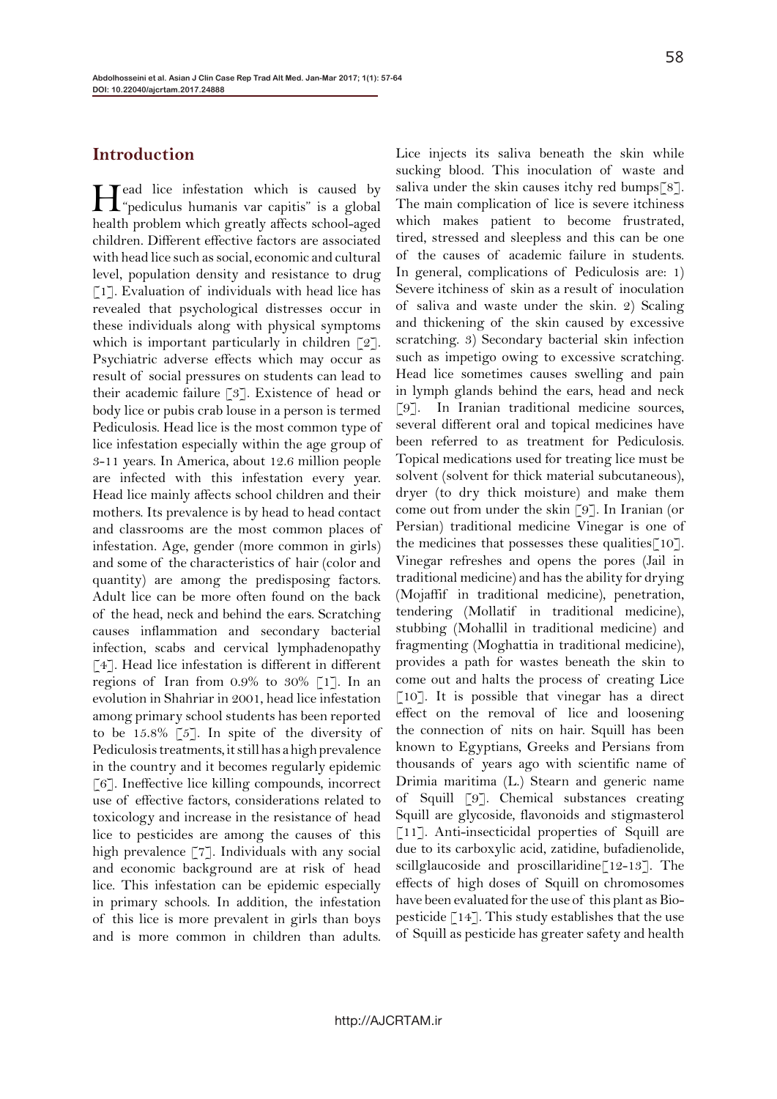### **Introduction**

Head lice infestation which is caused by "pediculus humanis var capitis" is a global health problem which greatly affects school-aged children. Different effective factors are associated with head lice such as social, economic and cultural level, population density and resistance to drug [1]. Evaluation of individuals with head lice has revealed that psychological distresses occur in these individuals along with physical symptoms which is important particularly in children [2]. Psychiatric adverse effects which may occur as result of social pressures on students can lead to their academic failure [3]. Existence of head or body lice or pubis crab louse in a person is termed Pediculosis. Head lice is the most common type of lice infestation especially within the age group of 3-11 years. In America, about 12.6 million people are infected with this infestation every year. Head lice mainly affects school children and their mothers. Its prevalence is by head to head contact and classrooms are the most common places of infestation. Age, gender (more common in girls) and some of the characteristics of hair (color and quantity) are among the predisposing factors. Adult lice can be more often found on the back of the head, neck and behind the ears. Scratching causes inflammation and secondary bacterial infection, scabs and cervical lymphadenopathy [4]. Head lice infestation is different in different regions of Iran from 0.9% to 30% [1]. In an evolution in Shahriar in 2001, head lice infestation among primary school students has been reported to be 15.8% [5]. In spite of the diversity of Pediculosis treatments, it still has a high prevalence in the country and it becomes regularly epidemic [6]. Ineffective lice killing compounds, incorrect use of effective factors, considerations related to toxicology and increase in the resistance of head lice to pesticides are among the causes of this high prevalence [7]. Individuals with any social and economic background are at risk of head lice. This infestation can be epidemic especially in primary schools. In addition, the infestation of this lice is more prevalent in girls than boys and is more common in children than adults.

Lice injects its saliva beneath the skin while sucking blood. This inoculation of waste and saliva under the skin causes itchy red bumps[8]. The main complication of lice is severe itchiness which makes patient to become frustrated, tired, stressed and sleepless and this can be one of the causes of academic failure in students. In general, complications of Pediculosis are: 1) Severe itchiness of skin as a result of inoculation of saliva and waste under the skin. 2) Scaling and thickening of the skin caused by excessive scratching. 3) Secondary bacterial skin infection such as impetigo owing to excessive scratching. Head lice sometimes causes swelling and pain in lymph glands behind the ears, head and neck [9]. In Iranian traditional medicine sources, several different oral and topical medicines have been referred to as treatment for Pediculosis. Topical medications used for treating lice must be solvent (solvent for thick material subcutaneous), dryer (to dry thick moisture) and make them come out from under the skin [9]. In Iranian (or Persian) traditional medicine Vinegar is one of the medicines that possesses these qualities  $\lceil 10 \rceil$ . Vinegar refreshes and opens the pores (Jail in traditional medicine) and has the ability for drying (Mojaffif in traditional medicine), penetration, tendering (Mollatif in traditional medicine), stubbing (Mohallil in traditional medicine) and fragmenting (Moghattia in traditional medicine), provides a path for wastes beneath the skin to come out and halts the process of creating Lice [10]. It is possible that vinegar has a direct effect on the removal of lice and loosening the connection of nits on hair. Squill has been known to Egyptians, Greeks and Persians from thousands of years ago with scientific name of Drimia maritima (L.) Stearn and generic name of Squill [9]. Chemical substances creating Squill are glycoside, flavonoids and stigmasterol [11]. Anti-insecticidal properties of Squill are due to its carboxylic acid, zatidine, bufadienolide, scillglaucoside and proscillaridine[12-13]. The effects of high doses of Squill on chromosomes have been evaluated for the use of this plant as Biopesticide [14]. This study establishes that the use of Squill as pesticide has greater safety and health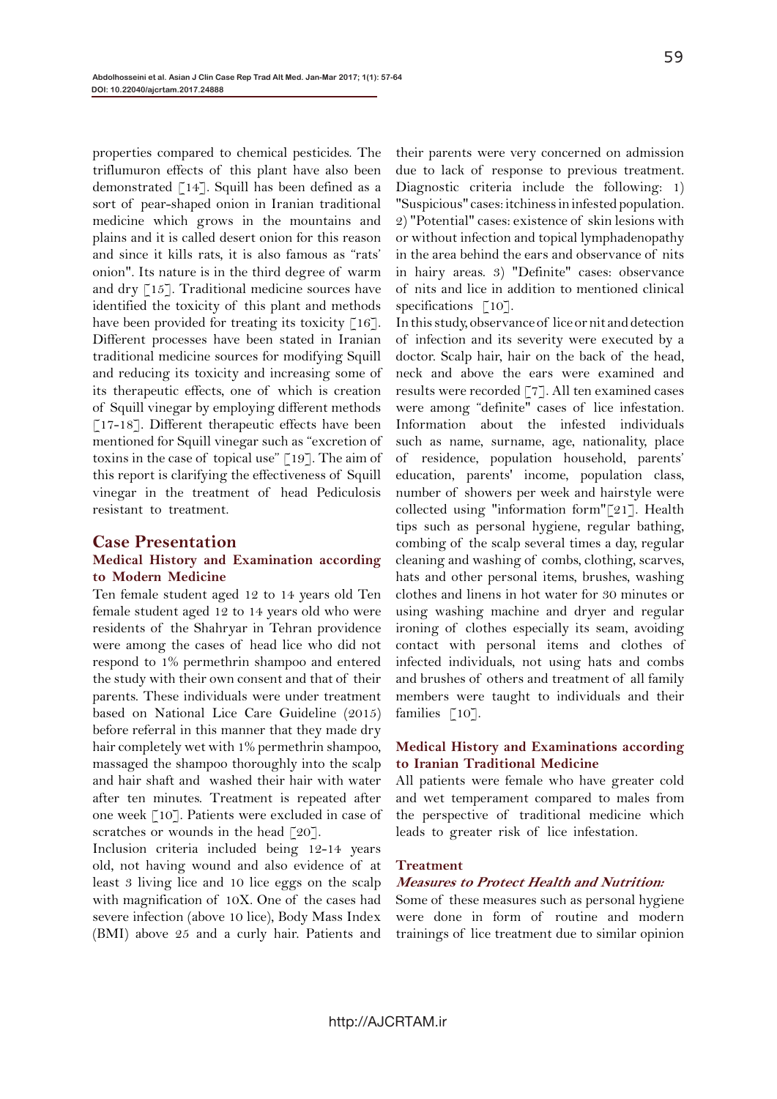properties compared to chemical pesticides. The triflumuron effects of this plant have also been demonstrated [14]. Squill has been defined as a sort of pear-shaped onion in Iranian traditional medicine which grows in the mountains and plains and it is called desert onion for this reason and since it kills rats, it is also famous as "rats' onion". Its nature is in the third degree of warm and dry [15]. Traditional medicine sources have identified the toxicity of this plant and methods have been provided for treating its toxicity  $\lceil 16 \rceil$ . Different processes have been stated in Iranian traditional medicine sources for modifying Squill and reducing its toxicity and increasing some of its therapeutic effects, one of which is creation of Squill vinegar by employing different methods  $\lceil 17 - 18 \rceil$ . Different therapeutic effects have been mentioned for Squill vinegar such as "excretion of toxins in the case of topical use" [19]. The aim of this report is clarifying the effectiveness of Squill vinegar in the treatment of head Pediculosis resistant to treatment.

#### **Case Presentation**

#### **Medical History and Examination according to Modern Medicine**

Ten female student aged 12 to 14 years old Ten female student aged 12 to 14 years old who were residents of the Shahryar in Tehran providence were among the cases of head lice who did not respond to 1% permethrin shampoo and entered the study with their own consent and that of their parents. These individuals were under treatment based on National Lice Care Guideline (2015) before referral in this manner that they made dry hair completely wet with 1% permethrin shampoo, massaged the shampoo thoroughly into the scalp and hair shaft and washed their hair with water after ten minutes. Treatment is repeated after one week [10]. Patients were excluded in case of scratches or wounds in the head [20].

Inclusion criteria included being 12-14 years old, not having wound and also evidence of at least 3 living lice and 10 lice eggs on the scalp with magnification of 10X. One of the cases had severe infection (above 10 lice), Body Mass Index (BMI) above 25 and a curly hair. Patients and

their parents were very concerned on admission due to lack of response to previous treatment. Diagnostic criteria include the following: 1) "Suspicious" cases: itchiness in infested population. 2) "Potential" cases: existence of skin lesions with or without infection and topical lymphadenopathy in the area behind the ears and observance of nits in hairy areas. 3) "Definite" cases: observance of nits and lice in addition to mentioned clinical specifications [10].

In this study, observance of lice or nit and detection of infection and its severity were executed by a doctor. Scalp hair, hair on the back of the head, neck and above the ears were examined and results were recorded [7]. All ten examined cases were among "definite" cases of lice infestation. Information about the infested individuals such as name, surname, age, nationality, place of residence, population household, parents' education, parents' income, population class, number of showers per week and hairstyle were collected using "information form"[21]. Health tips such as personal hygiene, regular bathing, combing of the scalp several times a day, regular cleaning and washing of combs, clothing, scarves, hats and other personal items, brushes, washing clothes and linens in hot water for 30 minutes or using washing machine and dryer and regular ironing of clothes especially its seam, avoiding contact with personal items and clothes of infected individuals, not using hats and combs and brushes of others and treatment of all family members were taught to individuals and their families  $\lceil 10 \rceil$ .

#### **Medical History and Examinations according to Iranian Traditional Medicine**

All patients were female who have greater cold and wet temperament compared to males from the perspective of traditional medicine which leads to greater risk of lice infestation.

#### **Treatment**

#### **Measures to Protect Health and Nutrition:**

Some of these measures such as personal hygiene were done in form of routine and modern trainings of lice treatment due to similar opinion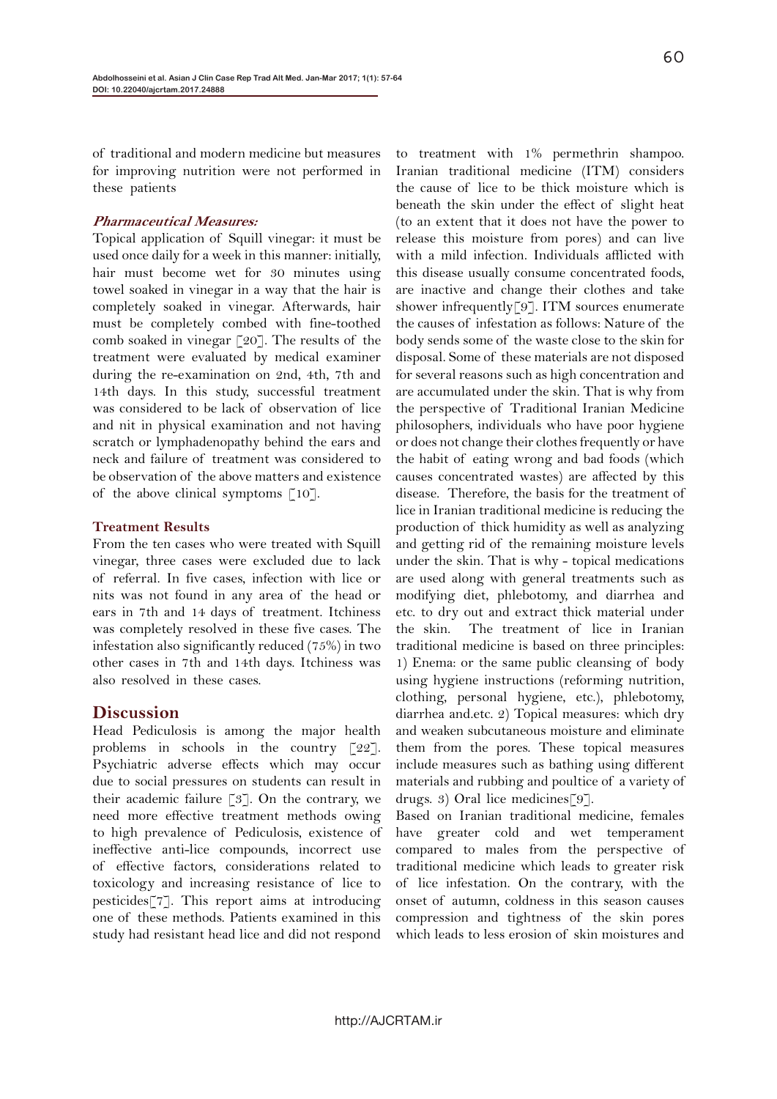of traditional and modern medicine but measures for improving nutrition were not performed in these patients

#### **Pharmaceutical Measures:**

Topical application of Squill vinegar: it must be used once daily for a week in this manner: initially, hair must become wet for 30 minutes using towel soaked in vinegar in a way that the hair is completely soaked in vinegar. Afterwards, hair must be completely combed with fine-toothed comb soaked in vinegar  $\lceil 20 \rceil$ . The results of the treatment were evaluated by medical examiner during the re-examination on 2nd, 4th, 7th and 14th days. In this study, successful treatment was considered to be lack of observation of lice and nit in physical examination and not having scratch or lymphadenopathy behind the ears and neck and failure of treatment was considered to be observation of the above matters and existence of the above clinical symptoms  $\lceil 10 \rceil$ .

#### **Treatment Results**

From the ten cases who were treated with Squill vinegar, three cases were excluded due to lack of referral. In five cases, infection with lice or nits was not found in any area of the head or ears in 7th and 14 days of treatment. Itchiness was completely resolved in these five cases. The infestation also significantly reduced (75%) in two other cases in 7th and 14th days. Itchiness was also resolved in these cases.

#### **Discussion**

Head Pediculosis is among the major health problems in schools in the country [22]. Psychiatric adverse effects which may occur due to social pressures on students can result in their academic failure [3]. On the contrary, we need more effective treatment methods owing to high prevalence of Pediculosis, existence of ineffective anti-lice compounds, incorrect use of effective factors, considerations related to toxicology and increasing resistance of lice to pesticides[7]. This report aims at introducing one of these methods. Patients examined in this study had resistant head lice and did not respond

to treatment with 1% permethrin shampoo. Iranian traditional medicine (ITM) considers the cause of lice to be thick moisture which is beneath the skin under the effect of slight heat (to an extent that it does not have the power to release this moisture from pores) and can live with a mild infection. Individuals afflicted with this disease usually consume concentrated foods, are inactive and change their clothes and take shower infrequently<sup>[9]</sup>. ITM sources enumerate the causes of infestation as follows: Nature of the body sends some of the waste close to the skin for disposal. Some of these materials are not disposed for several reasons such as high concentration and are accumulated under the skin. That is why from the perspective of Traditional Iranian Medicine philosophers, individuals who have poor hygiene or does not change their clothes frequently or have the habit of eating wrong and bad foods (which causes concentrated wastes) are affected by this disease. Therefore, the basis for the treatment of lice in Iranian traditional medicine is reducing the production of thick humidity as well as analyzing and getting rid of the remaining moisture levels under the skin. That is why - topical medications are used along with general treatments such as modifying diet, phlebotomy, and diarrhea and etc. to dry out and extract thick material under the skin. The treatment of lice in Iranian traditional medicine is based on three principles: 1) Enema: or the same public cleansing of body using hygiene instructions (reforming nutrition, clothing, personal hygiene, etc.), phlebotomy, diarrhea and.etc. 2) Topical measures: which dry and weaken subcutaneous moisture and eliminate them from the pores. These topical measures include measures such as bathing using different materials and rubbing and poultice of a variety of drugs. 3) Oral lice medicines[9].

Based on Iranian traditional medicine, females have greater cold and wet temperament compared to males from the perspective of traditional medicine which leads to greater risk of lice infestation. On the contrary, with the onset of autumn, coldness in this season causes compression and tightness of the skin pores which leads to less erosion of skin moistures and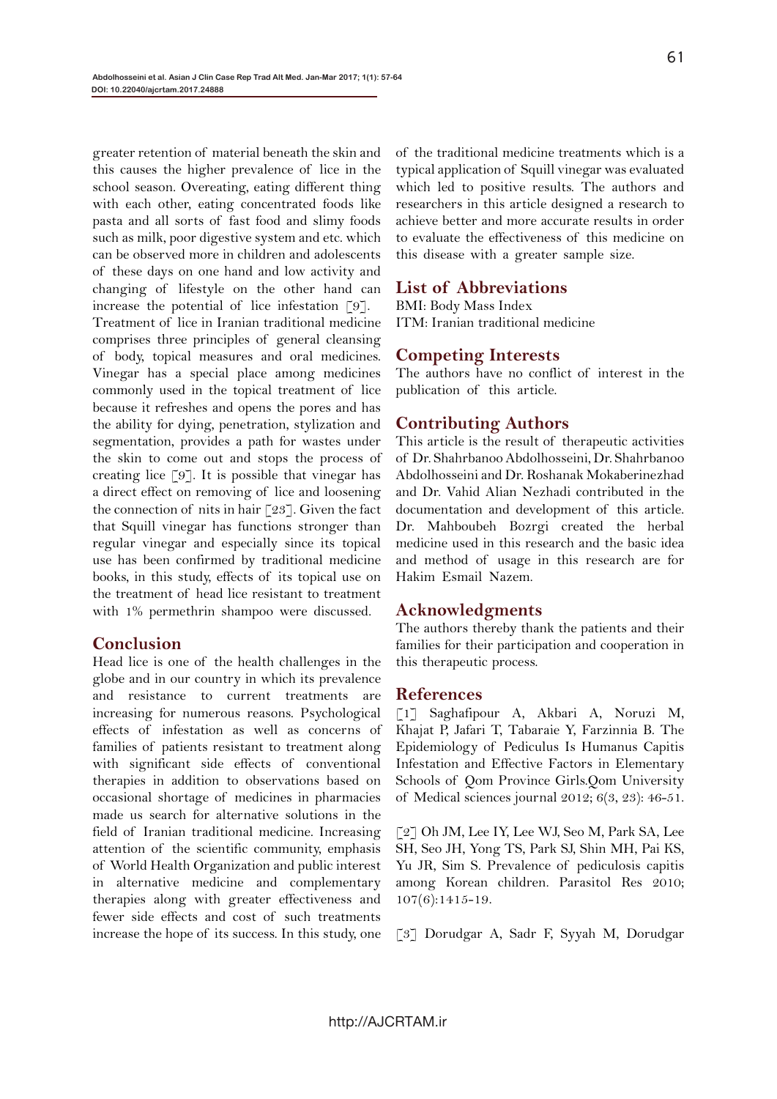greater retention of material beneath the skin and this causes the higher prevalence of lice in the school season. Overeating, eating different thing with each other, eating concentrated foods like pasta and all sorts of fast food and slimy foods such as milk, poor digestive system and etc. which can be observed more in children and adolescents of these days on one hand and low activity and changing of lifestyle on the other hand can increase the potential of lice infestation [9]. Treatment of lice in Iranian traditional medicine comprises three principles of general cleansing of body, topical measures and oral medicines. Vinegar has a special place among medicines commonly used in the topical treatment of lice because it refreshes and opens the pores and has the ability for dying, penetration, stylization and segmentation, provides a path for wastes under the skin to come out and stops the process of creating lice [9]. It is possible that vinegar has a direct effect on removing of lice and loosening the connection of nits in hair  $\lceil 23 \rceil$ . Given the fact that Squill vinegar has functions stronger than regular vinegar and especially since its topical use has been confirmed by traditional medicine books, in this study, effects of its topical use on the treatment of head lice resistant to treatment with 1% permethrin shampoo were discussed.

#### **Conclusion**

Head lice is one of the health challenges in the globe and in our country in which its prevalence and resistance to current treatments are increasing for numerous reasons. Psychological effects of infestation as well as concerns of families of patients resistant to treatment along with significant side effects of conventional therapies in addition to observations based on occasional shortage of medicines in pharmacies made us search for alternative solutions in the field of Iranian traditional medicine. Increasing attention of the scientific community, emphasis of World Health Organization and public interest in alternative medicine and complementary therapies along with greater effectiveness and fewer side effects and cost of such treatments increase the hope of its success. In this study, one

of the traditional medicine treatments which is a typical application of Squill vinegar was evaluated which led to positive results. The authors and researchers in this article designed a research to achieve better and more accurate results in order to evaluate the effectiveness of this medicine on this disease with a greater sample size.

# **List of Abbreviations**

BMI: Body Mass Index ITM: Iranian traditional medicine

# **Competing Interests**

The authors have no conflict of interest in the publication of this article.

# **Contributing Authors**

This article is the result of therapeutic activities of Dr. Shahrbanoo Abdolhosseini, Dr. Shahrbanoo Abdolhosseini and Dr. Roshanak Mokaberinezhad and Dr. Vahid Alian Nezhadi contributed in the documentation and development of this article. Dr. Mahboubeh Bozrgi created the herbal medicine used in this research and the basic idea and method of usage in this research are for Hakim Esmail Nazem.

# **Acknowledgments**

The authors thereby thank the patients and their families for their participation and cooperation in this therapeutic process.

#### **References**

[1] Saghafipour A, Akbari A, Noruzi M, Khajat P, Jafari T, Tabaraie Y, Farzinnia B. The Epidemiology of Pediculus Is Humanus Capitis Infestation and Effective Factors in Elementary Schools of Qom Province Girls.Qom University of Medical sciences journal 2012; 6(3, 23): 46-51.

[2] Oh JM, Lee IY, Lee WJ, Seo M, Park SA, Lee SH, Seo JH, Yong TS, Park SJ, Shin MH, Pai KS, Yu JR, Sim S. Prevalence of pediculosis capitis among Korean children. Parasitol Res 2010; 107(6):1415-19.

[3] Dorudgar A, Sadr F, Syyah M, Dorudgar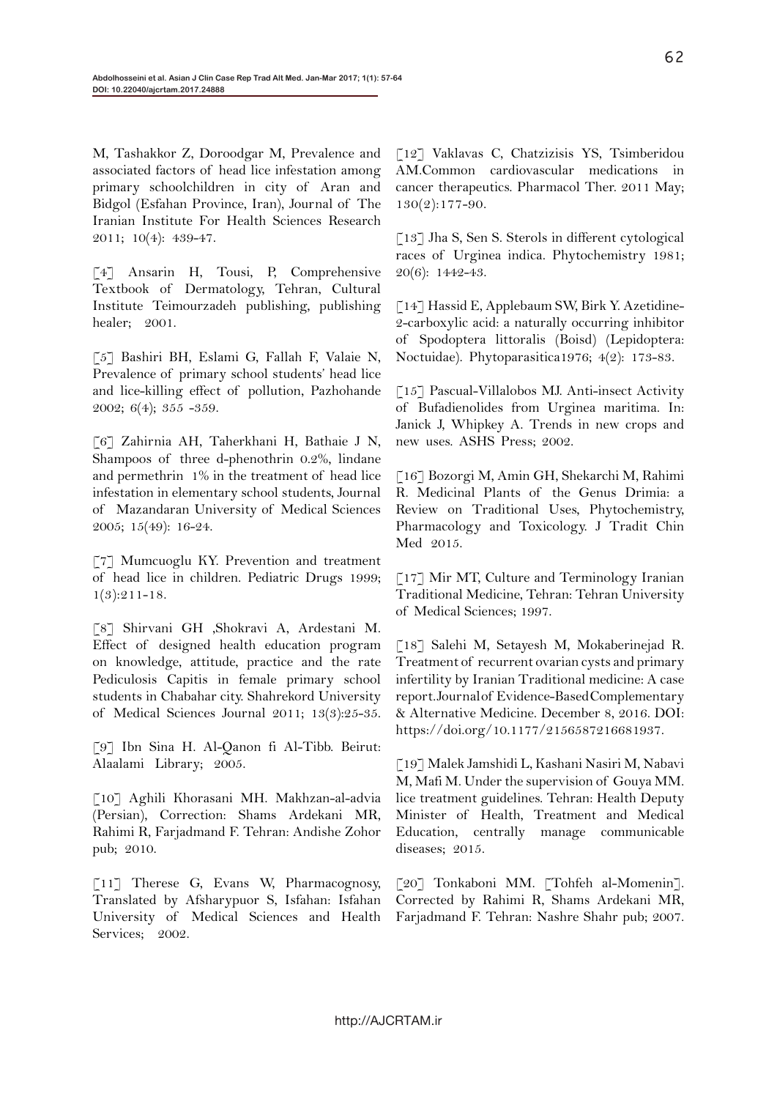M, Tashakkor Z, Doroodgar M, Prevalence and associated factors of head lice infestation among primary schoolchildren in city of Aran and Bidgol (Esfahan Province, Iran), Journal of The Iranian Institute For Health Sciences Research 2011; 10(4): 439-47.

[4] Ansarin H, Tousi, P, Comprehensive Textbook of Dermatology, Tehran, Cultural Institute Teimourzadeh publishing, publishing healer; 2001.

[5] Bashiri BH, Eslami G, Fallah F, Valaie N, Prevalence of primary school students' head lice and lice-killing effect of pollution, Pazhohande 2002; 6(4); 355 -359.

[6] Zahirnia AH, Taherkhani H, Bathaie J N, Shampoos of three d-phenothrin 0.2%, lindane and permethrin 1% in the treatment of head lice infestation in elementary school students, Journal of Mazandaran University of Medical Sciences 2005; 15(49): 16-24.

[7] Mumcuoglu KY. Prevention and treatment of head lice in children. Pediatric Drugs 1999;  $1(3):211-18.$ 

[8] Shirvani GH ,Shokravi A, Ardestani M. Effect of designed health education program on knowledge, attitude, practice and the rate Pediculosis Capitis in female primary school students in Chabahar city. Shahrekord University of Medical Sciences Journal 2011; 13(3):25-35.

[9] Ibn Sina H. Al-Qanon fi Al-Tibb. Beirut: Alaalami Library; 2005.

[10] Aghili Khorasani MH. Makhzan-al-advia (Persian), Correction: Shams Ardekani MR, Rahimi R, Farjadmand F. Tehran: Andishe Zohor pub; 2010.

[11] Therese G, Evans W, Pharmacognosy, Translated by Afsharypuor S, Isfahan: Isfahan University of Medical Sciences and Health Services; 2002.

[12] Vaklavas C, Chatzizisis YS, Tsimberidou AM.Common cardiovascular medications in cancer therapeutics. Pharmacol Ther. 2011 May; 130(2):177-90.

[13] Jha S, Sen S. Sterols in different cytological races of Urginea indica. Phytochemistry 1981; 20(6): 1442-43.

[14] Hassid E, Applebaum SW, Birk Y. Azetidine-2-carboxylic acid: a naturally occurring inhibitor of Spodoptera littoralis (Boisd) (Lepidoptera: Noctuidae). Phytoparasitica1976; 4(2): 173-83.

[15] Pascual-Villalobos MJ. Anti-insect Activity of Bufadienolides from Urginea maritima. In: Janick J, Whipkey A. Trends in new crops and new uses. ASHS Press; 2002.

[16] Bozorgi M, Amin GH, Shekarchi M, Rahimi R. Medicinal Plants of the Genus Drimia: a Review on Traditional Uses, Phytochemistry, Pharmacology and Toxicology. J Tradit Chin Med 2015.

[17] Mir MT, Culture and Terminology Iranian Traditional Medicine, Tehran: Tehran University of Medical Sciences; 1997.

[18] Salehi M, Setayesh M, Mokaberinejad R. Treatment of recurrent ovarian cysts and primary infertility by Iranian Traditional medicine: A case report. Journal of Evidence-Based Complementary & Alternative Medicine. December 8, 2016. DOI: https://doi.org/10.1177/2156587216681937.

[19] Malek Jamshidi L, Kashani Nasiri M, Nabavi M, Mafi M. Under the supervision of Gouya MM. lice treatment guidelines. Tehran: Health Deputy Minister of Health, Treatment and Medical Education, centrally manage communicable diseases; 2015.

[20] Tonkaboni MM. [Tohfeh al-Momenin]. Corrected by Rahimi R, Shams Ardekani MR, Farjadmand F. Tehran: Nashre Shahr pub; 2007.